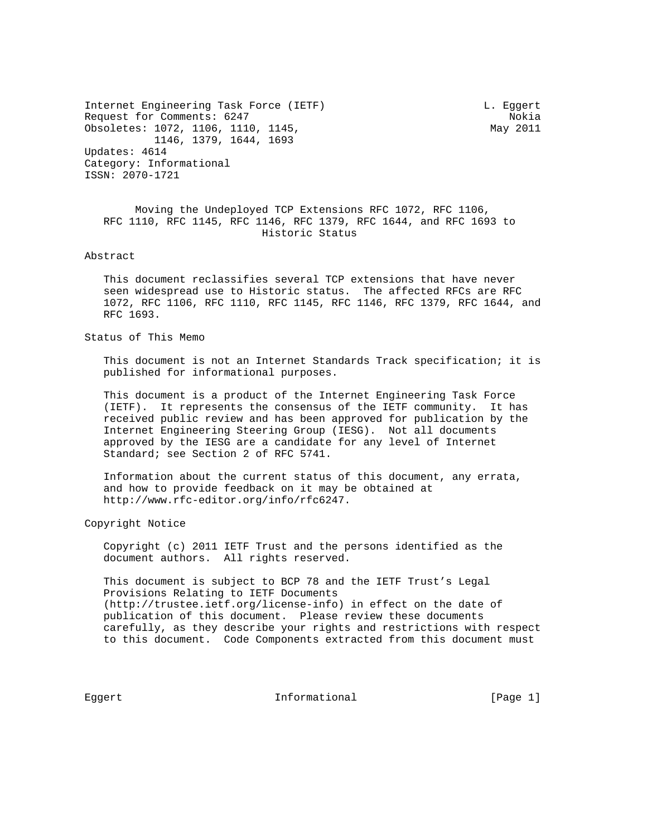Internet Engineering Task Force (IETF) and the contract of the Eggert Request for Comments: 6247 Nokia Obsoletes: 1072, 1106, 1110, 1145, And Allen and May 2011 1146, 1379, 1644, 1693 Updates: 4614 Category: Informational ISSN: 2070-1721

 Moving the Undeployed TCP Extensions RFC 1072, RFC 1106, RFC 1110, RFC 1145, RFC 1146, RFC 1379, RFC 1644, and RFC 1693 to Historic Status

## Abstract

 This document reclassifies several TCP extensions that have never seen widespread use to Historic status. The affected RFCs are RFC 1072, RFC 1106, RFC 1110, RFC 1145, RFC 1146, RFC 1379, RFC 1644, and RFC 1693.

Status of This Memo

 This document is not an Internet Standards Track specification; it is published for informational purposes.

 This document is a product of the Internet Engineering Task Force (IETF). It represents the consensus of the IETF community. It has received public review and has been approved for publication by the Internet Engineering Steering Group (IESG). Not all documents approved by the IESG are a candidate for any level of Internet Standard; see Section 2 of RFC 5741.

 Information about the current status of this document, any errata, and how to provide feedback on it may be obtained at http://www.rfc-editor.org/info/rfc6247.

Copyright Notice

 Copyright (c) 2011 IETF Trust and the persons identified as the document authors. All rights reserved.

 This document is subject to BCP 78 and the IETF Trust's Legal Provisions Relating to IETF Documents (http://trustee.ietf.org/license-info) in effect on the date of publication of this document. Please review these documents carefully, as they describe your rights and restrictions with respect to this document. Code Components extracted from this document must

Eggert 11 Informational 1999 [Page 1]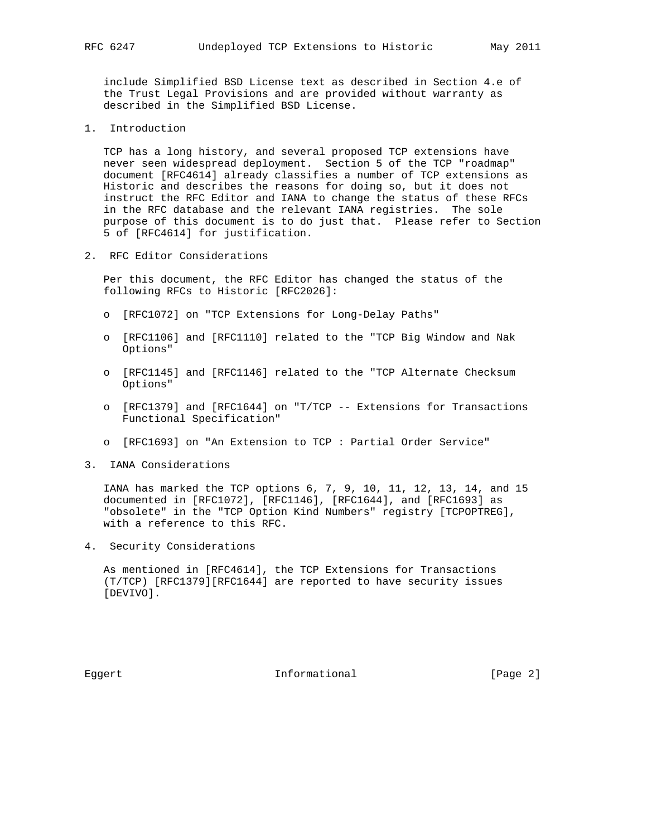include Simplified BSD License text as described in Section 4.e of the Trust Legal Provisions and are provided without warranty as described in the Simplified BSD License.

1. Introduction

 TCP has a long history, and several proposed TCP extensions have never seen widespread deployment. Section 5 of the TCP "roadmap" document [RFC4614] already classifies a number of TCP extensions as Historic and describes the reasons for doing so, but it does not instruct the RFC Editor and IANA to change the status of these RFCs in the RFC database and the relevant IANA registries. The sole purpose of this document is to do just that. Please refer to Section 5 of [RFC4614] for justification.

2. RFC Editor Considerations

 Per this document, the RFC Editor has changed the status of the following RFCs to Historic [RFC2026]:

- o [RFC1072] on "TCP Extensions for Long-Delay Paths"
- o [RFC1106] and [RFC1110] related to the "TCP Big Window and Nak Options"
- o [RFC1145] and [RFC1146] related to the "TCP Alternate Checksum Options"
- o [RFC1379] and [RFC1644] on "T/TCP -- Extensions for Transactions Functional Specification"
- o [RFC1693] on "An Extension to TCP : Partial Order Service"
- 3. IANA Considerations

 IANA has marked the TCP options 6, 7, 9, 10, 11, 12, 13, 14, and 15 documented in [RFC1072], [RFC1146], [RFC1644], and [RFC1693] as "obsolete" in the "TCP Option Kind Numbers" registry [TCPOPTREG], with a reference to this RFC.

4. Security Considerations

 As mentioned in [RFC4614], the TCP Extensions for Transactions (T/TCP) [RFC1379][RFC1644] are reported to have security issues [DEVIVO].

Eggert 1nformational 1999 [Page 2]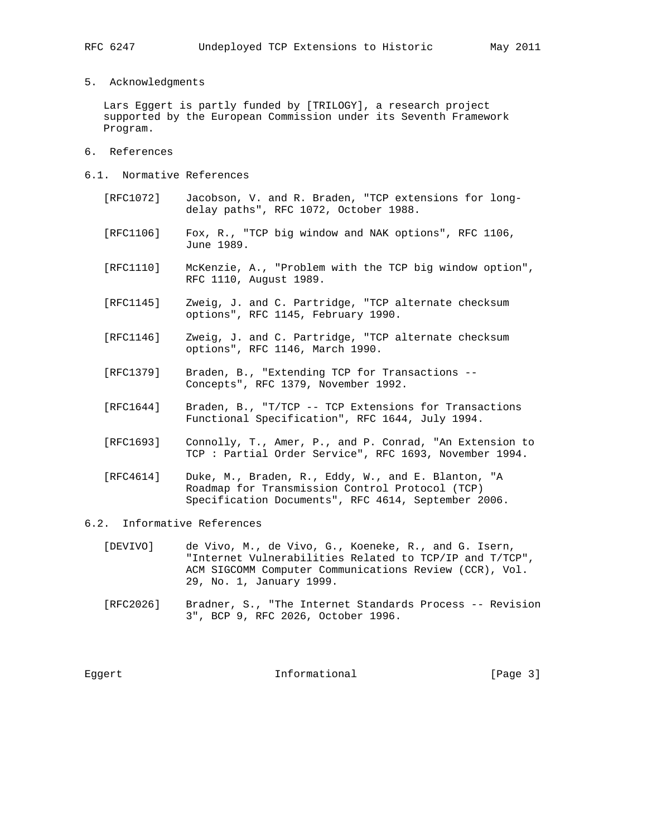5. Acknowledgments

 Lars Eggert is partly funded by [TRILOGY], a research project supported by the European Commission under its Seventh Framework Program.

- 6. References
- 6.1. Normative References
	- [RFC1072] Jacobson, V. and R. Braden, "TCP extensions for long delay paths", RFC 1072, October 1988.
	- [RFC1106] Fox, R., "TCP big window and NAK options", RFC 1106, June 1989.
	- [RFC1110] McKenzie, A., "Problem with the TCP big window option", RFC 1110, August 1989.
	- [RFC1145] Zweig, J. and C. Partridge, "TCP alternate checksum options", RFC 1145, February 1990.
	- [RFC1146] Zweig, J. and C. Partridge, "TCP alternate checksum options", RFC 1146, March 1990.
	- [RFC1379] Braden, B., "Extending TCP for Transactions -- Concepts", RFC 1379, November 1992.
	- [RFC1644] Braden, B., "T/TCP -- TCP Extensions for Transactions Functional Specification", RFC 1644, July 1994.
	- [RFC1693] Connolly, T., Amer, P., and P. Conrad, "An Extension to TCP : Partial Order Service", RFC 1693, November 1994.
	- [RFC4614] Duke, M., Braden, R., Eddy, W., and E. Blanton, "A Roadmap for Transmission Control Protocol (TCP) Specification Documents", RFC 4614, September 2006.

## 6.2. Informative References

- [DEVIVO] de Vivo, M., de Vivo, G., Koeneke, R., and G. Isern, "Internet Vulnerabilities Related to TCP/IP and T/TCP", ACM SIGCOMM Computer Communications Review (CCR), Vol. 29, No. 1, January 1999.
- [RFC2026] Bradner, S., "The Internet Standards Process -- Revision 3", BCP 9, RFC 2026, October 1996.

Eggert 1nformational [Page 3]